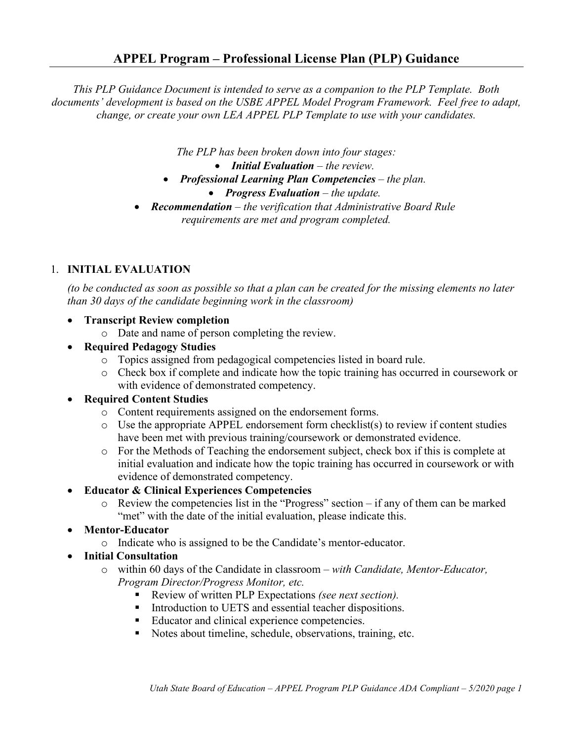*This PLP Guidance Document is intended to serve as a companion to the PLP Template. Both documents' development is based on the USBE APPEL Model Program Framework. Feel free to adapt, change, or create your own LEA APPEL PLP Template to use with your candidates.* 

*The PLP has been broken down into four stages:* 

- *Initial Evaluation the review.*
- *Professional Learning Plan Competencies the plan.* 
	- *Progress Evaluation the update.*
- *Recommendation the verification that Administrative Board Rule requirements are met and program completed.*

## 1. **INITIAL EVALUATION**

*(to be conducted as soon as possible so that a plan can be created for the missing elements no later than 30 days of the candidate beginning work in the classroom)*

- **Transcript Review completion**
	- o Date and name of person completing the review.
- **Required Pedagogy Studies**
	- o Topics assigned from pedagogical competencies listed in board rule.
	- o Check box if complete and indicate how the topic training has occurred in coursework or with evidence of demonstrated competency.

### • **Required Content Studies**

- o Content requirements assigned on the endorsement forms.
- o Use the appropriate APPEL endorsement form checklist(s) to review if content studies have been met with previous training/coursework or demonstrated evidence.
- o For the Methods of Teaching the endorsement subject, check box if this is complete at initial evaluation and indicate how the topic training has occurred in coursework or with evidence of demonstrated competency.

### • **Educator & Clinical Experiences Competencies**

- o Review the competencies list in the "Progress" section if any of them can be marked "met" with the date of the initial evaluation, please indicate this.
- **Mentor-Educator** 
	- o Indicate who is assigned to be the Candidate's mentor-educator.
- **Initial Consultation** 
	- o within 60 days of the Candidate in classroom *with Candidate, Mentor-Educator, Program Director/Progress Monitor, etc.*
		- Review of written PLP Expectations *(see next section)*.
		- **Introduction to UETS and essential teacher dispositions.**
		- Educator and clinical experience competencies.
		- Notes about timeline, schedule, observations, training, etc.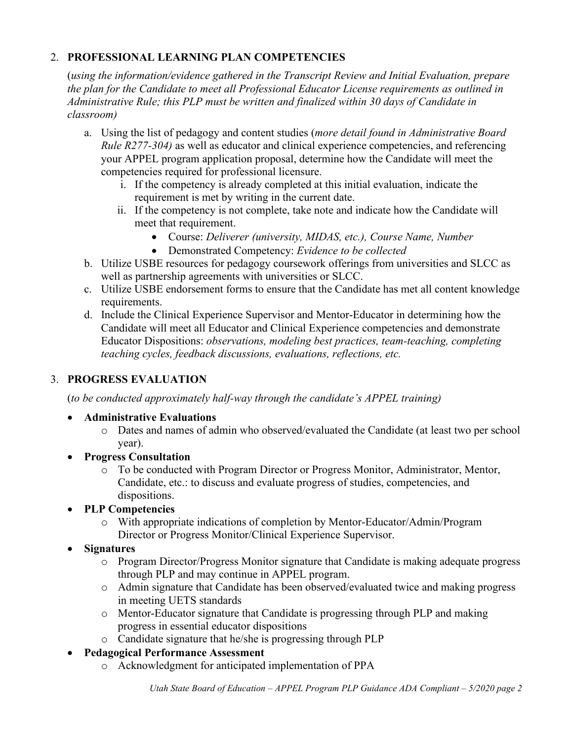# 2. **PROFESSIONAL LEARNING PLAN COMPETENCIES**

(*using the information/evidence gathered in the Transcript Review and Initial Evaluation, prepare the plan for the Candidate to meet all Professional Educator License requirements as outlined in Administrative Rule; this PLP must be written and finalized within 30 days of Candidate in classroom)*

- a. Using the list of pedagogy and content studies (*more detail found in Administrative Board Rule R277-304)* as well as educator and clinical experience competencies, and referencing your APPEL program application proposal, determine how the Candidate will meet the competencies required for professional licensure.
	- i. If the competency is already completed at this initial evaluation, indicate the requirement is met by writing in the current date.
	- ii. If the competency is not complete, take note and indicate how the Candidate will meet that requirement.
		- Course: *Deliverer (university, MIDAS, etc.), Course Name, Number*
		- Demonstrated Competency: *Evidence to be collected*
- b. Utilize USBE resources for pedagogy coursework offerings from universities and SLCC as well as partnership agreements with universities or SLCC.
- c. Utilize USBE endorsement forms to ensure that the Candidate has met all content knowledge requirements.
- d. Include the Clinical Experience Supervisor and Mentor-Educator in determining how the Candidate will meet all Educator and Clinical Experience competencies and demonstrate Educator Dispositions: *observations, modeling best practices, team-teaching, completing teaching cycles, feedback discussions, evaluations, reflections, etc.*

## 3. **PROGRESS EVALUATION**

(*to be conducted approximately half-way through the candidate's APPEL training)*

## • **Administrative Evaluations**

- o Dates and names of admin who observed/evaluated the Candidate (at least two per school year).
- **Progress Consultation** 
	- o To be conducted with Program Director or Progress Monitor, Administrator, Mentor, Candidate, etc.: to discuss and evaluate progress of studies, competencies, and dispositions.
- **PLP Competencies**
	- o With appropriate indications of completion by Mentor-Educator/Admin/Program Director or Progress Monitor/Clinical Experience Supervisor.
- **Signatures**
	- o Program Director/Progress Monitor signature that Candidate is making adequate progress through PLP and may continue in APPEL program.
	- o Admin signature that Candidate has been observed/evaluated twice and making progress in meeting UETS standards
	- o Mentor-Educator signature that Candidate is progressing through PLP and making progress in essential educator dispositions
	- o Candidate signature that he/she is progressing through PLP
- **Pedagogical Performance Assessment** 
	- o Acknowledgment for anticipated implementation of PPA